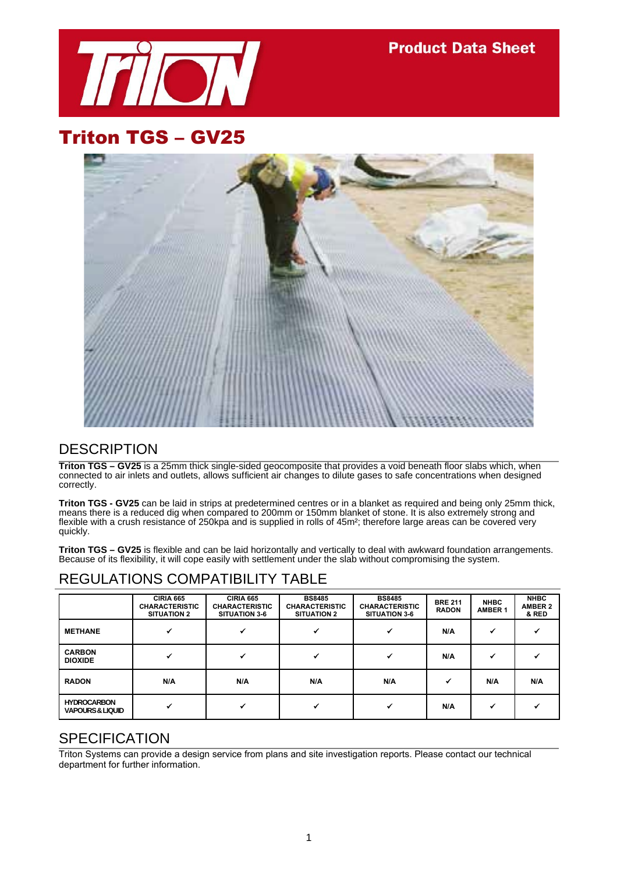

**Product Data Sheet** 

# Triton TGS – GV25



#### **DESCRIPTION**

**Triton TGS – GV25** is a 25mm thick single-sided geocomposite that provides a void beneath floor slabs which, when connected to air inlets and outlets, allows sufficient air changes to dilute gases to safe concentrations when designed correctly.

**Triton TGS - GV25** can be laid in strips at predetermined centres or in a blanket as required and being only 25mm thick, means there is a reduced dig when compared to 200mm or 150mm blanket of stone. It is also extremely strong and flexible with a crush resistance of 250kpa and is supplied in rolls of 45m²; therefore large areas can be covered very quickly.

**Triton TGS – GV25** is flexible and can be laid horizontally and vertically to deal with awkward foundation arrangements. Because of its flexibility, it will cope easily with settlement under the slab without compromising the system.

#### REGULATIONS COMPATIBILITY TABLE

|                                                   | <b>CIRIA 665</b><br><b>CHARACTERISTIC</b><br><b>SITUATION 2</b> | <b>CIRIA 665</b><br><b>CHARACTERISTIC</b><br><b>SITUATION 3-6</b> | <b>BS8485</b><br><b>CHARACTERISTIC</b><br><b>SITUATION 2</b> | <b>BS8485</b><br><b>CHARACTERISTIC</b><br><b>SITUATION 3-6</b> | <b>BRE 211</b><br><b>RADON</b> | <b>NHBC</b><br><b>AMBER 1</b> | <b>NHBC</b><br><b>AMBER 2</b><br>& RED |
|---------------------------------------------------|-----------------------------------------------------------------|-------------------------------------------------------------------|--------------------------------------------------------------|----------------------------------------------------------------|--------------------------------|-------------------------------|----------------------------------------|
| <b>METHANE</b>                                    |                                                                 |                                                                   |                                                              |                                                                | N/A                            | ↵                             |                                        |
| <b>CARBON</b><br><b>DIOXIDE</b>                   |                                                                 |                                                                   |                                                              |                                                                | N/A                            |                               |                                        |
| <b>RADON</b>                                      | N/A                                                             | N/A                                                               | N/A                                                          | N/A                                                            |                                | N/A                           | N/A                                    |
| <b>HYDROCARBON</b><br><b>VAPOURS &amp; LIQUID</b> |                                                                 |                                                                   |                                                              |                                                                | N/A                            |                               |                                        |

#### SPECIFICATION

Triton Systems can provide a design service from plans and site investigation reports. Please contact our technical department for further information.